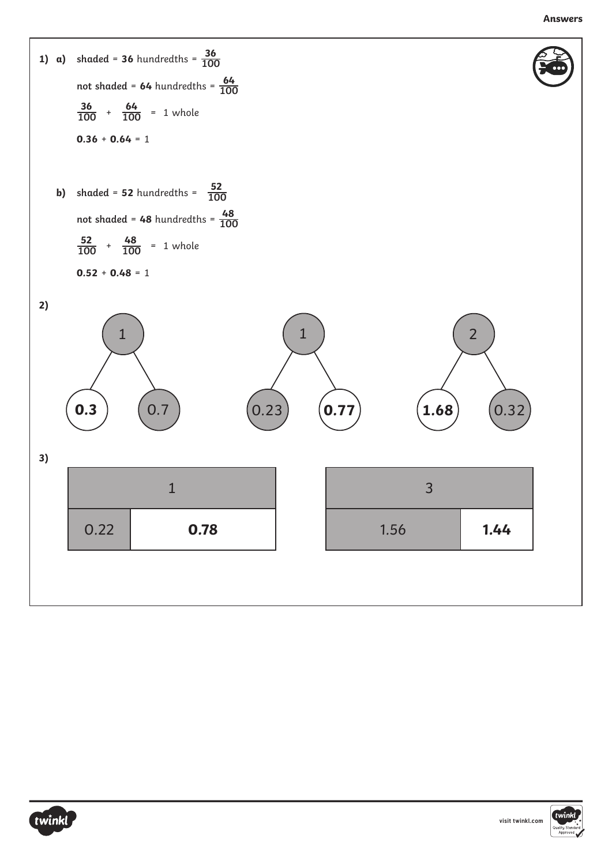